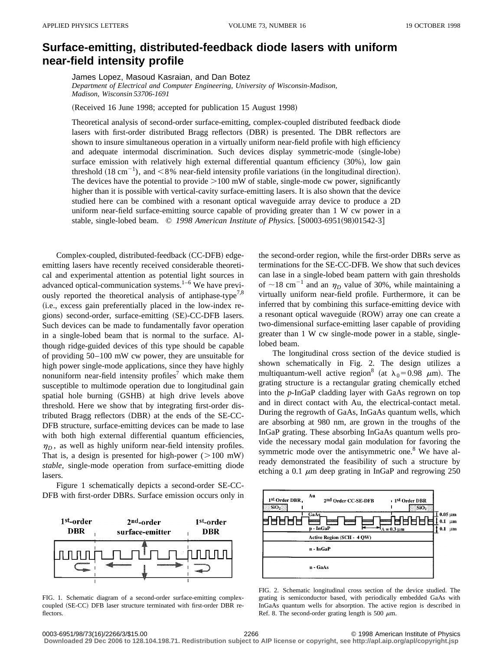## **Surface-emitting, distributed-feedback diode lasers with uniform near-field intensity profile**

James Lopez, Masoud Kasraian, and Dan Botez *Department of Electrical and Computer Engineering, University of Wisconsin-Madison, Madison, Wisconsin 53706-1691*

(Received 16 June 1998; accepted for publication 15 August 1998)

Theoretical analysis of second-order surface-emitting, complex-coupled distributed feedback diode lasers with first-order distributed Bragg reflectors (DBR) is presented. The DBR reflectors are shown to insure simultaneous operation in a virtually uniform near-field profile with high efficiency and adequate intermodal discrimination. Such devices display symmetric-mode (single-lobe) surface emission with relatively high external differential quantum efficiency  $(30%)$ , low gain threshold  $(18 \text{ cm}^{-1})$ , and  $\lt 8\%$  near-field intensity profile variations (in the longitudinal direction). The devices have the potential to provide  $>100$  mW of stable, single-mode cw power, significantly higher than it is possible with vertical-cavity surface-emitting lasers. It is also shown that the device studied here can be combined with a resonant optical waveguide array device to produce a 2D uniform near-field surface-emitting source capable of providing greater than 1 W cw power in a stable, single-lobed beam. © 1998 American Institute of Physics. [S0003-6951(98)01542-3]

Complex-coupled, distributed-feedback (CC-DFB) edgeemitting lasers have recently received considerable theoretical and experimental attention as potential light sources in advanced optical-communication systems. $1-6$  We have previously reported the theoretical analysis of antiphase-type<sup>7,8</sup> (i.e., excess gain preferentially placed in the low-index regions) second-order, surface-emitting (SE)-CC-DFB lasers. Such devices can be made to fundamentally favor operation in a single-lobed beam that is normal to the surface. Although ridge-guided devices of this type should be capable of providing 50–100 mW cw power, they are unsuitable for high power single-mode applications, since they have highly nonuniform near-field intensity profiles<sup>7</sup> which make them susceptible to multimode operation due to longitudinal gain spatial hole burning (GSHB) at high drive levels above threshold. Here we show that by integrating first-order distributed Bragg reflectors (DBR) at the ends of the SE-CC-DFB structure, surface-emitting devices can be made to lase with both high external differential quantum efficiencies,  $\eta_D$ , as well as highly uniform near-field intensity profiles. That is, a design is presented for high-power  $(>100 \text{ mW})$ *stable*, single-mode operation from surface-emitting diode lasers.

Figure 1 schematically depicts a second-order SE-CC-DFB with first-order DBRs. Surface emission occurs only in



FIG. 1. Schematic diagram of a second-order surface-emitting complexcoupled (SE-CC) DFB laser structure terminated with first-order DBR reflectors.

the second-order region, while the first-order DBRs serve as terminations for the SE-CC-DFB. We show that such devices can lase in a single-lobed beam pattern with gain thresholds of  $\sim$ 18 cm<sup>-1</sup> and an  $\eta_D$  value of 30%, while maintaining a virtually uniform near-field profile. Furthermore, it can be inferred that by combining this surface-emitting device with a resonant optical waveguide (ROW) array one can create a two-dimensional surface-emitting laser capable of providing greater than 1 W cw single-mode power in a stable, singlelobed beam.

The longitudinal cross section of the device studied is shown schematically in Fig. 2. The design utilizes a multiquantum-well active region<sup>8</sup> (at  $\lambda_0 = 0.98$   $\mu$ m). The grating structure is a rectangular grating chemically etched into the *p*-InGaP cladding layer with GaAs regrown on top and in direct contact with Au, the electrical-contact metal. During the regrowth of GaAs, InGaAs quantum wells, which are absorbing at 980 nm, are grown in the troughs of the InGaP grating. These absorbing InGaAs quantum wells provide the necessary modal gain modulation for favoring the symmetric mode over the antisymmetric one. $8$  We have already demonstrated the feasibility of such a structure by etching a 0.1  $\mu$ m deep grating in InGaP and regrowing 250



FIG. 2. Schematic longitudinal cross section of the device studied. The grating is semiconductor based, with periodically embedded GaAs with InGaAs quantum wells for absorption. The active region is described in Ref. 8. The second-order grating length is 500  $\mu$ m.

0003-6951/98/73(16)/2266/3/\$15.00 © 1998 American Institute of Physics 2266

**Downloaded 29 Dec 2006 to 128.104.198.71. Redistribution subject to AIP license or copyright, see http://apl.aip.org/apl/copyright.jsp**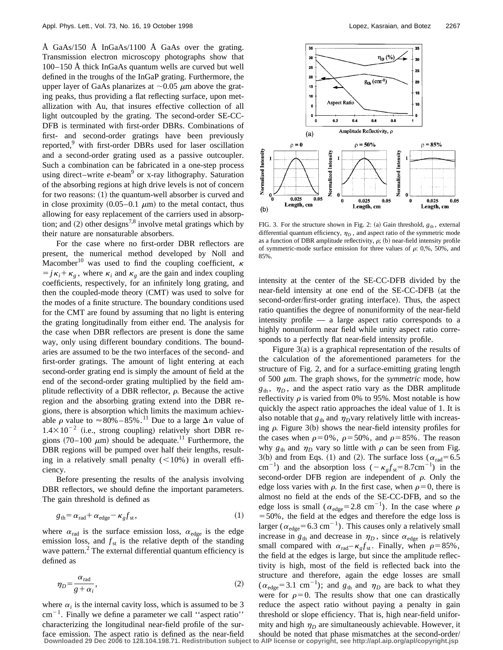Å GaAs/150 Å InGaAs/1100 Å GaAs over the grating. Transmission electron microscopy photographs show that 100–150 Å thick InGaAs quantum wells are curved but well defined in the troughs of the InGaP grating. Furthermore, the upper layer of GaAs planarizes at  $\sim 0.05 \mu$ m above the grating peaks, thus providing a flat reflecting surface, upon metallization with Au, that insures effective collection of all light outcoupled by the grating. The second-order SE-CC-DFB is terminated with first-order DBRs. Combinations of first- and second-order gratings have been previously reported,<sup>9</sup> with first-order DBRs used for laser oscillation and a second-order grating used as a passive outcoupler. Such a combination can be fabricated in a one-step process using direct–write *e*-beam<sup>9</sup> or x-ray lithography. Saturation of the absorbing regions at high drive levels is not of concern for two reasons:  $(1)$  the quantum-well absorber is curved and in close proximity  $(0.05-0.1 \mu m)$  to the metal contact, thus allowing for easy replacement of the carriers used in absorption; and  $(2)$  other designs<sup>7,8</sup> involve metal gratings which by their nature are nonsaturable absorbers.

For the case where no first-order DBR reflectors are present, the numerical method developed by Noll and Macomber<sup>10</sup> was used to find the coupling coefficient,  $\kappa$  $=j\kappa_i+\kappa_g$ , where  $\kappa_i$  and  $\kappa_g$  are the gain and index coupling coefficients, respectively, for an infinitely long grating, and then the coupled-mode theory (CMT) was used to solve for the modes of a finite structure. The boundary conditions used for the CMT are found by assuming that no light is entering the grating longitudinally from either end. The analysis for the case when DBR reflectors are present is done the same way, only using different boundary conditions. The boundaries are assumed to be the two interfaces of the second- and first-order gratings. The amount of light entering at each second-order grating end is simply the amount of field at the end of the second-order grating multiplied by the field amplitude reflectivity of a DBR reflector,  $\rho$ . Because the active region and the absorbing grating extend into the DBR regions, there is absorption which limits the maximum achievable  $\rho$  value to  $\approx 80\% - 85\%$ .<sup>11</sup> Due to a large  $\Delta n$  value of  $1.4\times10^{-2}$  (i.e., strong coupling) relatively short DBR regions  $(70-100 \mu m)$  should be adequate.<sup>11</sup> Furthermore, the DBR regions will be pumped over half their lengths, resulting in a relatively small penalty  $(<10\%)$  in overall efficiency.

Before presenting the results of the analysis involving DBR reflectors, we should define the important parameters. The gain threshold is defined as

$$
g_{\text{th}} = \alpha_{\text{rad}} + \alpha_{\text{edge}} - \kappa_g f_{\text{st}},\tag{1}
$$

where  $\alpha_{rad}$  is the surface emission loss,  $\alpha_{edge}$  is the edge emission loss, and  $f_{st}$  is the relative depth of the standing wave pattern. $<sup>2</sup>$  The external differential quantum efficiency is</sup> defined as

$$
\eta_D = \frac{\alpha_{\text{rad}}}{g + \alpha_i},\tag{2}
$$

where  $\alpha_i$  is the internal cavity loss, which is assumed to be 3  $cm^{-1}$ . Finally we define a parameter we call "aspect ratio" characterizing the longitudinal near-field profile of the surface emission. The aspect ratio is defined as the near-field



FIG. 3. For the structure shown in Fig. 2: (a) Gain threshold,  $g_{th}$ , external differential quantum efficiency,  $\eta_D$ , and aspect ratio of the symmetric mode as a function of DBR amplitude reflectivity,  $\rho$ ; (b) near-field intensity profile of symmetric-mode surface emission for three values of  $\rho$ : 0,%, 50%, and 85%.

intensity at the center of the SE-CC-DFB divided by the near-field intensity at one end of the SE-CC-DFB (at the second-order/first-order grating interface). Thus, the aspect ratio quantifies the degree of nonuniformity of the near-field intensity profile — a large aspect ratio corresponds to a highly nonuniform near field while unity aspect ratio corresponds to a perfectly flat near-field intensity profile.

Figure  $3(a)$  is a graphical representation of the results of the calculation of the aforementioned parameters for the structure of Fig. 2, and for a surface-emitting grating length of 500  $\mu$ m. The graph shows, for the *symmetric* mode, how  $g_{th}$ ,  $\eta_D$ , and the aspect ratio vary as the DBR amplitude reflectivity  $\rho$  is varied from 0% to 95%. Most notable is how quickly the aspect ratio approaches the ideal value of 1. It is also notable that  $g_{th}$  and  $\eta_D$ vary relatively little with increasing  $\rho$ . Figure 3(b) shows the near-field intensity profiles for the cases when  $\rho=0\%$ ,  $\rho=50\%$ , and  $\rho=85\%$ . The reason why  $g_{th}$  and  $\eta_D$  vary so little with  $\rho$  can be seen from Fig. 3(b) and from Eqs. (1) and (2). The surface loss ( $\alpha_{rad}$ =6.5 cm<sup>-1</sup>) and the absorption loss  $(-\kappa_g f_{st} = 8.7 \text{cm}^{-1})$  in the second-order DFB region are independent of  $\rho$ . Only the edge loss varies with  $\rho$ . In the first case, when  $\rho=0$ , there is almost no field at the ends of the SE-CC-DFB, and so the edge loss is small ( $\alpha_{\text{edge}} = 2.8 \text{ cm}^{-1}$ ). In the case where  $\rho$  $=$  50%, the field at the edges and therefore the edge loss is larger ( $\alpha_{\text{edge}}$ =6.3 cm<sup>-1</sup>). This causes only a relatively small increase in  $g_{th}$  and decrease in  $\eta_D$ , since  $\alpha_{edge}$  is relatively small compared with  $\alpha_{rad} - \kappa_{g} f_{st}$ . Finally, when  $\rho = 85\%$ , the field at the edges is large, but since the amplitude reflectivity is high, most of the field is reflected back into the structure and therefore, again the edge losses are small  $(\alpha_{\text{edge}}=3.1 \text{ cm}^{-1})$ ; and  $g_{\text{th}}$  and  $\eta_D$  are back to what they were for  $\rho=0$ . The results show that one can drastically reduce the aspect ratio without paying a penalty in gain threshold or slope efficiency. That is, high near-field uniformity and high  $\eta_D$  are simultaneously achievable. However, it should be noted that phase mismatches at the second-order/

**Downloaded 29 Dec 2006 to 128.104.198.71. Redistribution subject to AIP license or copyright, see http://apl.aip.org/apl/copyright.jsp**